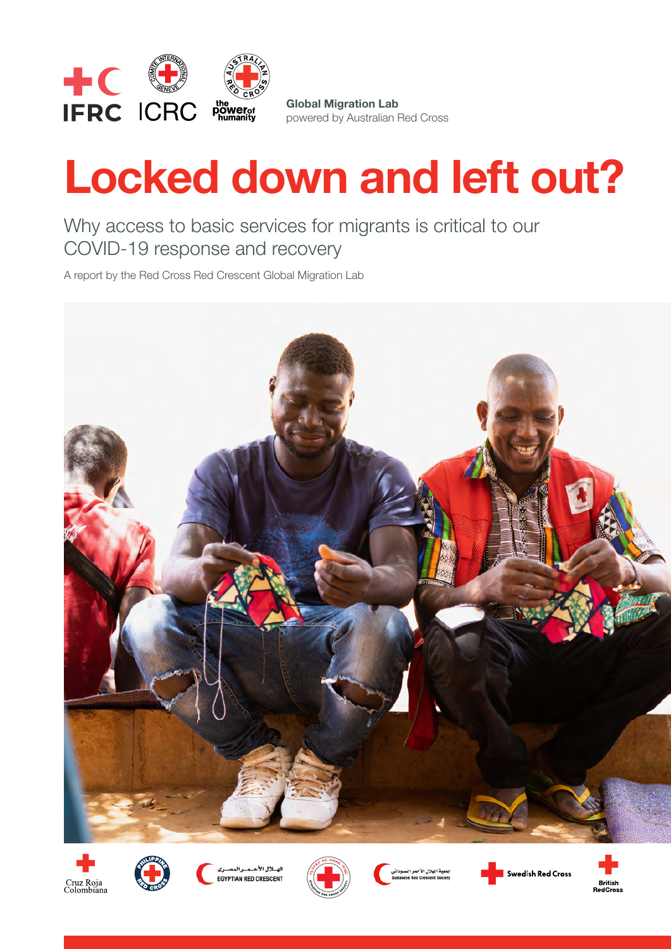

**Global Migration Lab** powered by Australian Red Cross

# **Locked down and left out?**

Why access to basic services for migrants is critical to our COVID-19 response and recovery

A report by the Red Cross Red Crescent Global Migration Lab







 $\overline{a}$ الهسلال الأحسه **EGYPTIAN RED CRESCENT** 





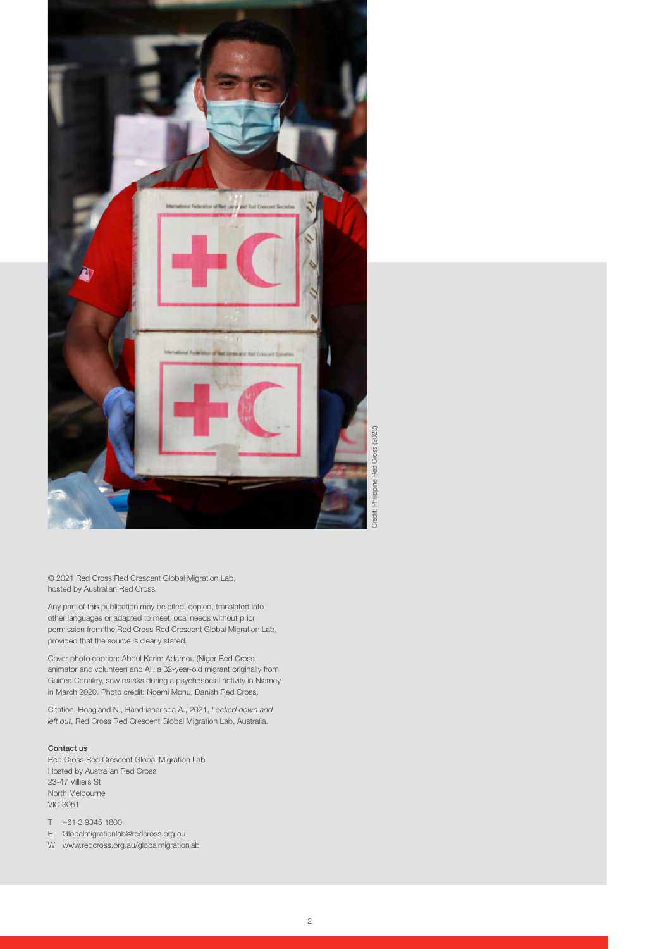

redit: Philippine Red Cross (2020) Credit: Philippine Red Cross (2020)

© 2021 Red Cross Red Crescent Global Migration Lab, hosted by Australian Red Cross

Any part of this publication may be cited, copied, translated into other languages or adapted to meet local needs without prior permission from the Red Cross Red Crescent Global Migration Lab, provided that the source is clearly stated.

Cover photo caption: Abdul Karim Adamou (Niger Red Cross animator and volunteer) and Ali, a 32-year-old migrant originally from Guinea Conakry, sew masks during a psychosocial activity in Niamey in March 2020. Photo credit: Noemi Monu, Danish Red Cross.

Citation: Hoagland N., Randrianarisoa A., 2021, *Locked down and left out*, Red Cross Red Crescent Global Migration Lab, Australia.

#### Contact us

Red Cross Red Crescent Global Migration Lab Hosted by Australian Red Cross 23-47 Villiers St North Melbourne VIC 3051

T +61 3 9345 1800

- E Globalmigrationlab@redcross.org.au
- W <www.redcross.org.au/globalmigrationlab>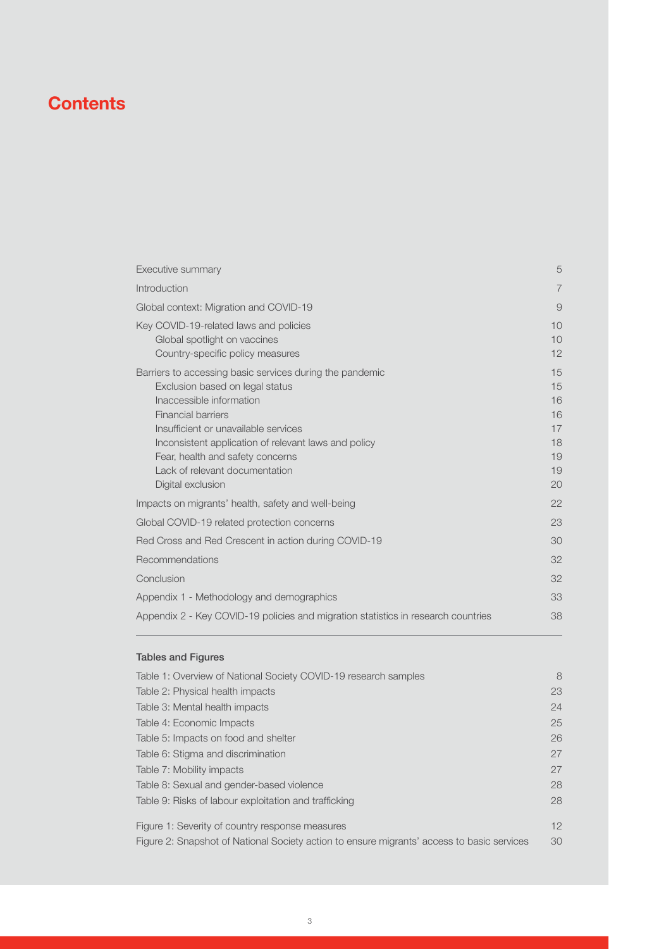## **Contents**

| Executive summary                                                                                                                                                                                                                                                                                                                               | 5                                                  |
|-------------------------------------------------------------------------------------------------------------------------------------------------------------------------------------------------------------------------------------------------------------------------------------------------------------------------------------------------|----------------------------------------------------|
| Introduction                                                                                                                                                                                                                                                                                                                                    | $\overline{7}$                                     |
| Global context: Migration and COVID-19                                                                                                                                                                                                                                                                                                          | 9                                                  |
| Key COVID-19-related laws and policies<br>Global spotlight on vaccines<br>Country-specific policy measures                                                                                                                                                                                                                                      | 10<br>10<br>12                                     |
| Barriers to accessing basic services during the pandemic<br>Exclusion based on legal status<br>Inaccessible information<br><b>Financial barriers</b><br>Insufficient or unavailable services<br>Inconsistent application of relevant laws and policy<br>Fear, health and safety concerns<br>Lack of relevant documentation<br>Digital exclusion | 15<br>15<br>16<br>16<br>17<br>18<br>19<br>19<br>20 |
| Impacts on migrants' health, safety and well-being                                                                                                                                                                                                                                                                                              | 22                                                 |
| Global COVID-19 related protection concerns                                                                                                                                                                                                                                                                                                     | 23                                                 |
| Red Cross and Red Crescent in action during COVID-19                                                                                                                                                                                                                                                                                            | 30                                                 |
| Recommendations                                                                                                                                                                                                                                                                                                                                 | 32                                                 |
| Conclusion                                                                                                                                                                                                                                                                                                                                      | 32                                                 |
| Appendix 1 - Methodology and demographics                                                                                                                                                                                                                                                                                                       | 33                                                 |
| Appendix 2 - Key COVID-19 policies and migration statistics in research countries                                                                                                                                                                                                                                                               | 38                                                 |

#### Tables and Figures

| Table 1: Overview of National Society COVID-19 research samples                            | 8  |
|--------------------------------------------------------------------------------------------|----|
| Table 2: Physical health impacts                                                           | 23 |
| Table 3: Mental health impacts                                                             | 24 |
| Table 4: Economic Impacts                                                                  | 25 |
| Table 5: Impacts on food and shelter                                                       | 26 |
| Table 6: Stigma and discrimination                                                         | 27 |
| Table 7: Mobility impacts                                                                  | 27 |
| Table 8: Sexual and gender-based violence                                                  | 28 |
| Table 9: Risks of labour exploitation and trafficking                                      | 28 |
| Figure 1: Severity of country response measures                                            | 12 |
| Figure 2: Snapshot of National Society action to ensure migrants' access to basic services | 30 |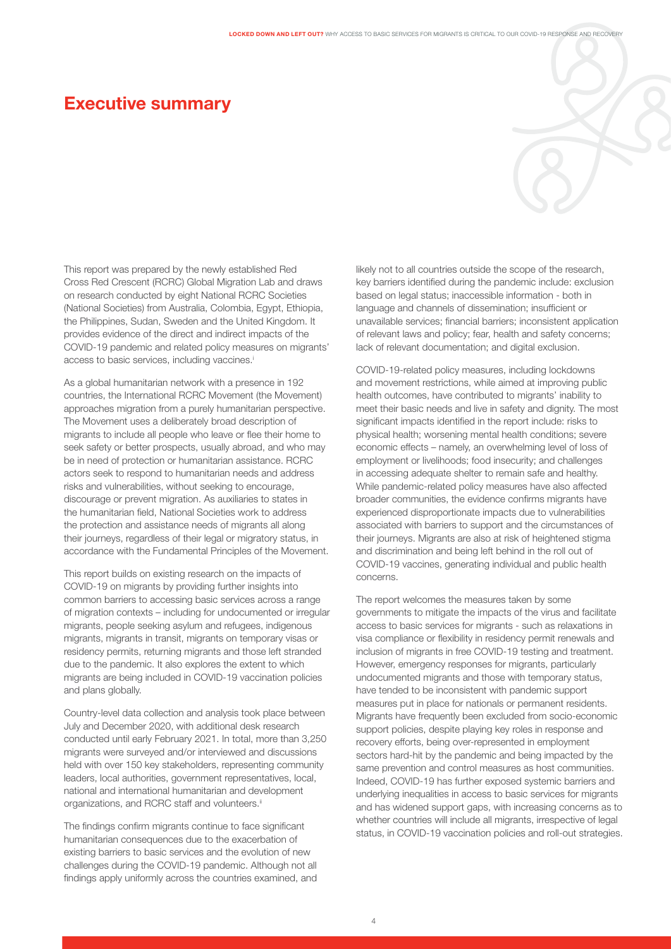### **Executive summary**

This report was prepared by the newly established Red Cross Red Crescent (RCRC) Global Migration Lab and draws on research conducted by eight National RCRC Societies (National Societies) from Australia, Colombia, Egypt, Ethiopia, the Philippines, Sudan, Sweden and the United Kingdom. It provides evidence of the direct and indirect impacts of the COVID-19 pandemic and related policy measures on migrants' access to basic services, including vaccines.<sup>i</sup>

As a global humanitarian network with a presence in 192 countries, the International RCRC Movement (the Movement) approaches migration from a purely humanitarian perspective. The Movement uses a deliberately broad description of migrants to include all people who leave or flee their home to seek safety or better prospects, usually abroad, and who may be in need of protection or humanitarian assistance. RCRC actors seek to respond to humanitarian needs and address risks and vulnerabilities, without seeking to encourage, discourage or prevent migration. As auxiliaries to states in the humanitarian field, National Societies work to address the protection and assistance needs of migrants all along their journeys, regardless of their legal or migratory status, in accordance with the Fundamental Principles of the Movement.

This report builds on existing research on the impacts of COVID-19 on migrants by providing further insights into common barriers to accessing basic services across a range of migration contexts – including for undocumented or irregular migrants, people seeking asylum and refugees, indigenous migrants, migrants in transit, migrants on temporary visas or residency permits, returning migrants and those left stranded due to the pandemic. It also explores the extent to which migrants are being included in COVID-19 vaccination policies and plans globally.

Country-level data collection and analysis took place between July and December 2020, with additional desk research conducted until early February 2021. In total, more than 3,250 migrants were surveyed and/or interviewed and discussions held with over 150 key stakeholders, representing community leaders, local authorities, government representatives, local, national and international humanitarian and development organizations, and RCRC staff and volunteers.<sup>ii</sup>

The findings confirm migrants continue to face significant humanitarian consequences due to the exacerbation of existing barriers to basic services and the evolution of new challenges during the COVID-19 pandemic. Although not all findings apply uniformly across the countries examined, and likely not to all countries outside the scope of the research, key barriers identified during the pandemic include: exclusion based on legal status; inaccessible information - both in language and channels of dissemination; insufficient or unavailable services; financial barriers; inconsistent application of relevant laws and policy; fear, health and safety concerns; lack of relevant documentation; and digital exclusion.

COVID-19-related policy measures, including lockdowns and movement restrictions, while aimed at improving public health outcomes, have contributed to migrants' inability to meet their basic needs and live in safety and dignity. The most significant impacts identified in the report include: risks to physical health; worsening mental health conditions; severe economic effects – namely, an overwhelming level of loss of employment or livelihoods; food insecurity; and challenges in accessing adequate shelter to remain safe and healthy. While pandemic-related policy measures have also affected broader communities, the evidence confirms migrants have experienced disproportionate impacts due to vulnerabilities associated with barriers to support and the circumstances of their journeys. Migrants are also at risk of heightened stigma and discrimination and being left behind in the roll out of COVID-19 vaccines, generating individual and public health concerns.

The report welcomes the measures taken by some governments to mitigate the impacts of the virus and facilitate access to basic services for migrants - such as relaxations in visa compliance or flexibility in residency permit renewals and inclusion of migrants in free COVID-19 testing and treatment. However, emergency responses for migrants, particularly undocumented migrants and those with temporary status, have tended to be inconsistent with pandemic support measures put in place for nationals or permanent residents. Migrants have frequently been excluded from socio-economic support policies, despite playing key roles in response and recovery efforts, being over-represented in employment sectors hard-hit by the pandemic and being impacted by the same prevention and control measures as host communities. Indeed, COVID-19 has further exposed systemic barriers and underlying inequalities in access to basic services for migrants and has widened support gaps, with increasing concerns as to whether countries will include all migrants, irrespective of legal status, in COVID-19 vaccination policies and roll-out strategies.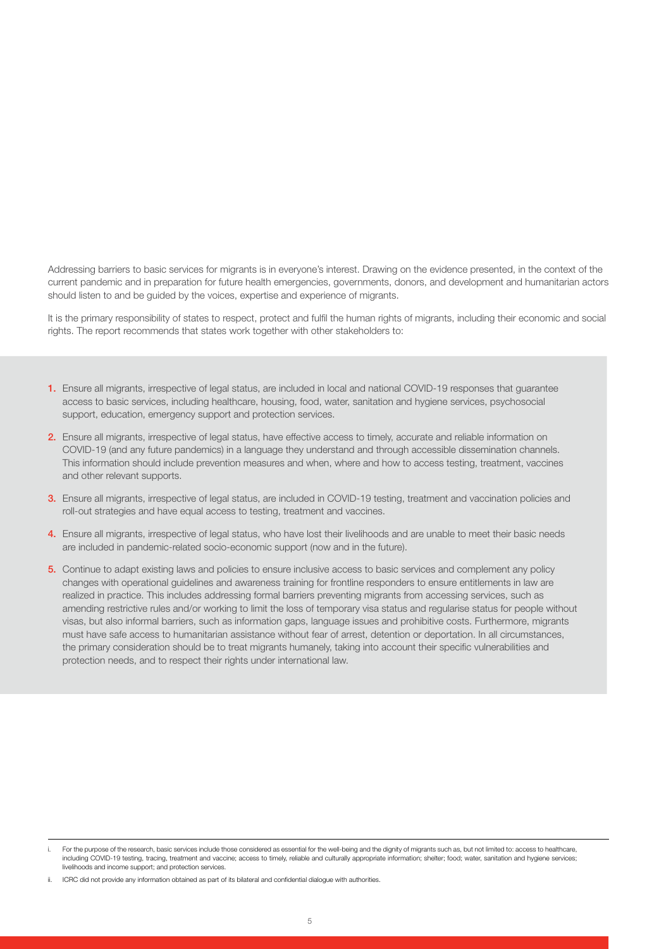Addressing barriers to basic services for migrants is in everyone's interest. Drawing on the evidence presented, in the context of the current pandemic and in preparation for future health emergencies, governments, donors, and development and humanitarian actors should listen to and be guided by the voices, expertise and experience of migrants.

It is the primary responsibility of states to respect, protect and fulfil the human rights of migrants, including their economic and social rights. The report recommends that states work together with other stakeholders to:

- 1. Ensure all migrants, irrespective of legal status, are included in local and national COVID-19 responses that guarantee access to basic services, including healthcare, housing, food, water, sanitation and hygiene services, psychosocial support, education, emergency support and protection services.
- 2. Ensure all migrants, irrespective of legal status, have effective access to timely, accurate and reliable information on COVID-19 (and any future pandemics) in a language they understand and through accessible dissemination channels. This information should include prevention measures and when, where and how to access testing, treatment, vaccines and other relevant supports.
- 3. Ensure all migrants, irrespective of legal status, are included in COVID-19 testing, treatment and vaccination policies and roll-out strategies and have equal access to testing, treatment and vaccines.
- 4. Ensure all migrants, irrespective of legal status, who have lost their livelihoods and are unable to meet their basic needs are included in pandemic-related socio-economic support (now and in the future).
- 5. Continue to adapt existing laws and policies to ensure inclusive access to basic services and complement any policy changes with operational guidelines and awareness training for frontline responders to ensure entitlements in law are realized in practice. This includes addressing formal barriers preventing migrants from accessing services, such as amending restrictive rules and/or working to limit the loss of temporary visa status and regularise status for people without visas, but also informal barriers, such as information gaps, language issues and prohibitive costs. Furthermore, migrants must have safe access to humanitarian assistance without fear of arrest, detention or deportation. In all circumstances, the primary consideration should be to treat migrants humanely, taking into account their specific vulnerabilities and protection needs, and to respect their rights under international law.

i. For the purpose of the research, basic services include those considered as essential for the well-being and the dignity of migrants such as, but not limited to: access to healthcare, including COVID-19 testing, tracing, treatment and vaccine; access to timely, reliable and culturally appropriate information; shelter; food; water, sanitation and hygiene services; livelihoods and income support; and protection services.

ii. ICRC did not provide any information obtained as part of its bilateral and confidential dialogue with authorities.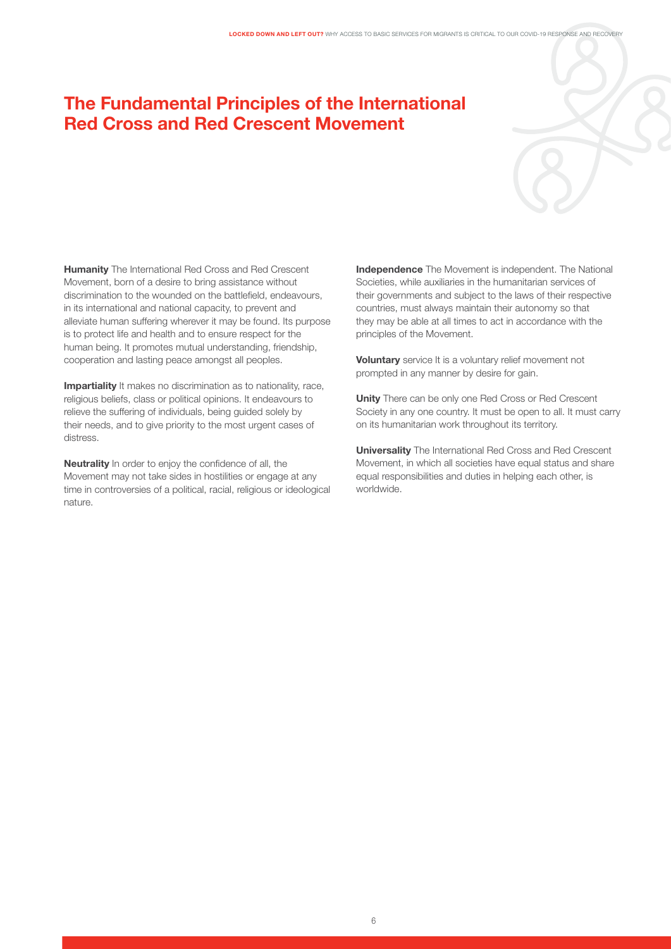## **The Fundamental Principles of the International Red Cross and Red Crescent Movement**

**Humanity** The International Red Cross and Red Crescent Movement, born of a desire to bring assistance without discrimination to the wounded on the battlefield, endeavours, in its international and national capacity, to prevent and alleviate human suffering wherever it may be found. Its purpose is to protect life and health and to ensure respect for the human being. It promotes mutual understanding, friendship, cooperation and lasting peace amongst all peoples.

**Impartiality** It makes no discrimination as to nationality, race, religious beliefs, class or political opinions. It endeavours to relieve the suffering of individuals, being guided solely by their needs, and to give priority to the most urgent cases of distress.

**Neutrality** In order to enjoy the confidence of all, the Movement may not take sides in hostilities or engage at any time in controversies of a political, racial, religious or ideological nature.

**Independence** The Movement is independent. The National Societies, while auxiliaries in the humanitarian services of their governments and subject to the laws of their respective countries, must always maintain their autonomy so that they may be able at all times to act in accordance with the principles of the Movement.

**Voluntary** service It is a voluntary relief movement not prompted in any manner by desire for gain.

**Unity** There can be only one Red Cross or Red Crescent Society in any one country. It must be open to all. It must carry on its humanitarian work throughout its territory.

**Universality** The International Red Cross and Red Crescent Movement, in which all societies have equal status and share equal responsibilities and duties in helping each other, is worldwide.